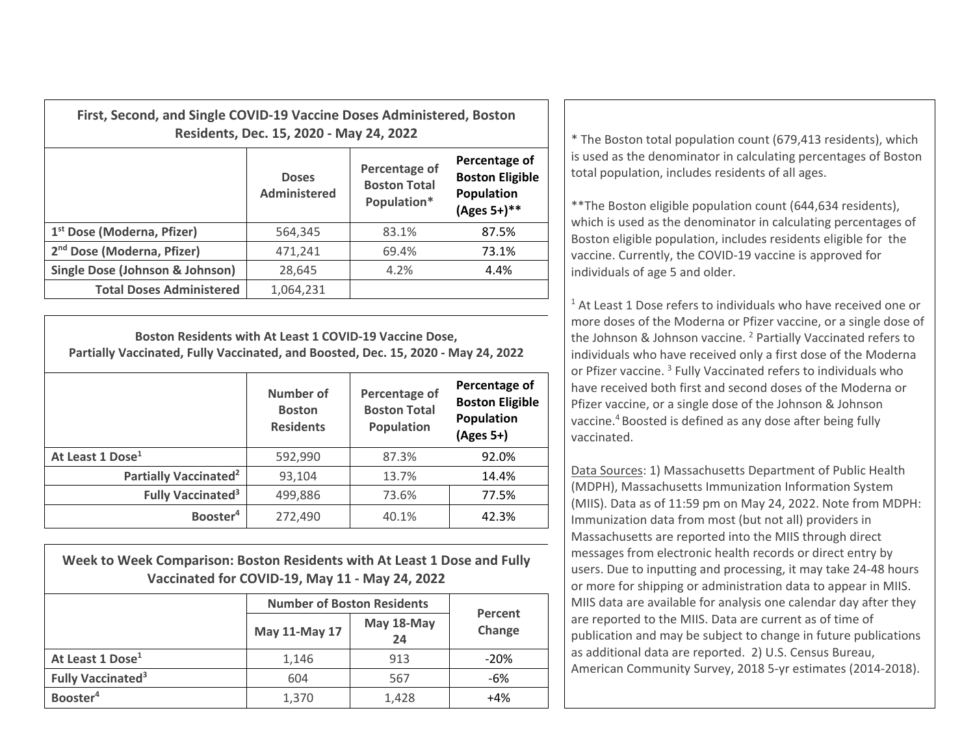| First, Second, and Single COVID-19 Vaccine Doses Administered, Boston<br>Residents, Dec. 15, 2020 - May 24, 2022 |                                                                                     |       |                                                                      |  |  |
|------------------------------------------------------------------------------------------------------------------|-------------------------------------------------------------------------------------|-------|----------------------------------------------------------------------|--|--|
|                                                                                                                  | Percentage of<br><b>Doses</b><br><b>Boston Total</b><br>Administered<br>Population* |       | Percentage of<br><b>Boston Eligible</b><br>Population<br>(Ages 5+)** |  |  |
| 1 <sup>st</sup> Dose (Moderna, Pfizer)                                                                           | 564,345                                                                             | 83.1% | 87.5%                                                                |  |  |
| 2 <sup>nd</sup> Dose (Moderna, Pfizer)                                                                           | 471,241                                                                             | 69.4% | 73.1%                                                                |  |  |
| Single Dose (Johnson & Johnson)                                                                                  | 28,645                                                                              | 4.2%  | 4.4%                                                                 |  |  |
| <b>Total Doses Administered</b>                                                                                  | 1,064,231                                                                           |       |                                                                      |  |  |

**Boston Residents with At Least 1 COVID‐19 Vaccine Dose, Partially Vaccinated, Fully Vaccinated, and Boosted, Dec. 15, 2020 ‐ May 24, 2022**

|                                     | Number of<br><b>Boston</b><br><b>Residents</b> | Percentage of<br><b>Boston Total</b><br>Population | Percentage of<br><b>Boston Eligible</b><br>Population<br>$(Ages 5+)$ |
|-------------------------------------|------------------------------------------------|----------------------------------------------------|----------------------------------------------------------------------|
| At Least 1 Dose <sup>1</sup>        | 592,990                                        | 87.3%                                              | 92.0%                                                                |
| Partially Vaccinated <sup>2</sup>   | 93,104                                         | 13.7%                                              | 14.4%                                                                |
| <b>Fully Vaccinated<sup>3</sup></b> | 499,886                                        | 73.6%                                              | 77.5%                                                                |
| Booster <sup>4</sup>                | 272,490                                        | 40.1%                                              | 42.3%                                                                |

**Week to Week Comparison: Boston Residents with At Least 1 Dose and Fully Vaccinated for COVID‐19, May 11 ‐ May 24, 2022**

|                                     | <b>Number of Boston Residents</b> |                  |                   |  |
|-------------------------------------|-----------------------------------|------------------|-------------------|--|
|                                     | May 11-May 17                     | May 18-May<br>24 | Percent<br>Change |  |
| At Least 1 Dose <sup>1</sup>        | 1,146                             | 913              | $-20%$            |  |
| <b>Fully Vaccinated<sup>3</sup></b> | 604                               | 567              | -6%               |  |
| Booster <sup>4</sup>                | 1,370                             | 1,428            | +4%               |  |

 The Boston total population count (679,413 residents), which is used as the denominator in calculating percentages of Boston total population, includes residents of all ages.

\*\*The Boston eligible population count (644,634 residents), which is used as the denominator in calculating percentages of Boston eligible population, includes residents eligible for the vaccine. Currently, the COVID‐19 vaccine is approved for individuals of age 5 and older.

 $1$  At Least 1 Dose refers to individuals who have received one or more doses of the Moderna or Pfizer vaccine, or <sup>a</sup> single dose of the Johnson & Johnson vaccine. <sup>2</sup> Partially Vaccinated refers to individuals who have received only <sup>a</sup> first dose of the Moderna or Pfizer vaccine. <sup>3</sup> Fully Vaccinated refers to individuals who have received both first and second doses of the Moderna or Pfizer vaccine, or <sup>a</sup> single dose of the Johnson & Johnson vaccine.<sup>4</sup> Boosted is defined as any dose after being fully vaccinated.

Data Sources: 1) Massachusetts Department of Public Health (MDPH), Massachusetts Immunization Information System (MIIS). Data as of 11:59 pm on May 24, 2022. Note from MDPH: Immunization data from most (but not all) providers in Massachusetts are reported into the MIIS through direct messages from electronic health records or direct entry by users. Due to inputting and processing, it may take 24‐48 hours or more for shipping or administration data to appear in MIIS. MIIS data are available for analysis one calendar day after they are reported to the MIIS. Data are current as of time of publication and may be subject to change in future publications as additional data are reported. 2) U.S. Census Bureau, American Community Survey, 2018 5‐yr estimates (2014‐2018).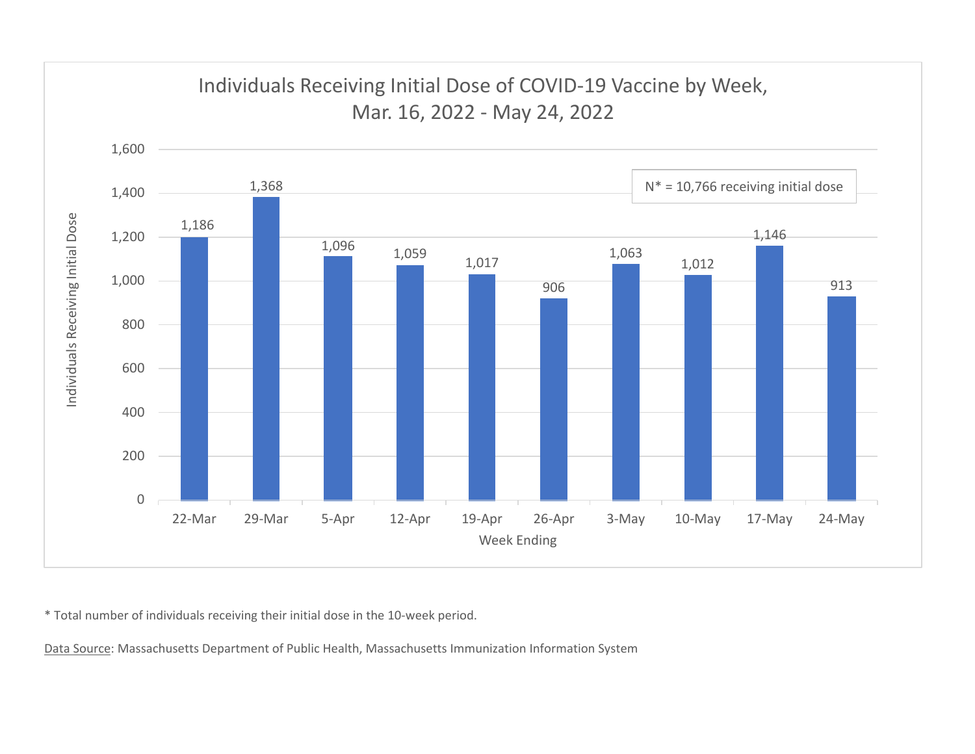

\* Total number of individuals receiving their initial dose in the 10‐week period.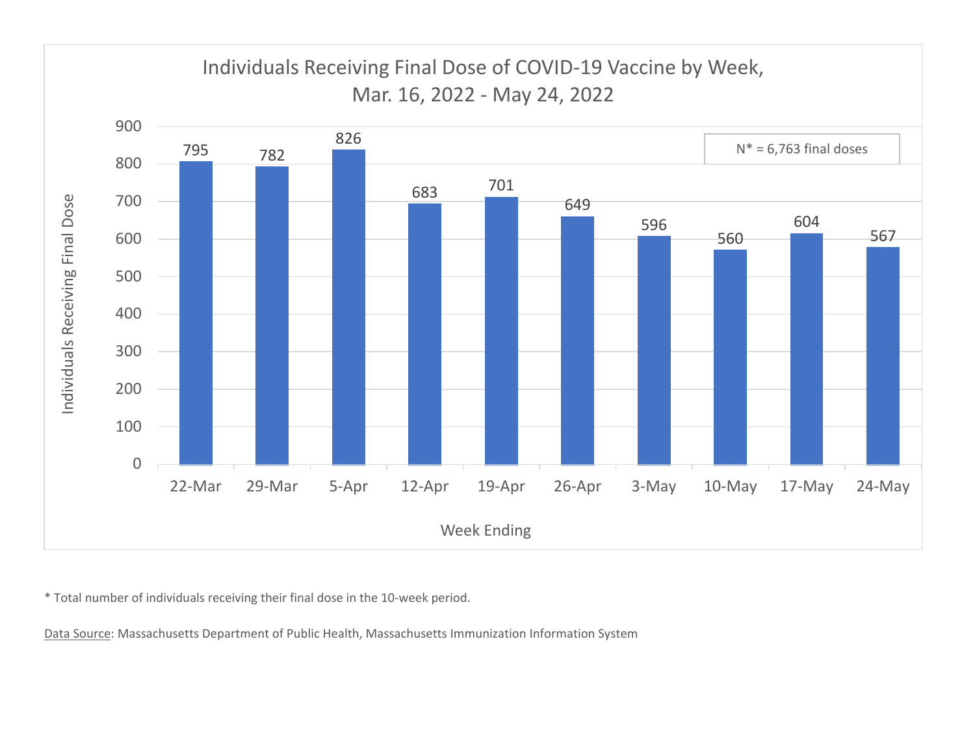

\* Total number of individuals receiving their final dose in the 10‐week period.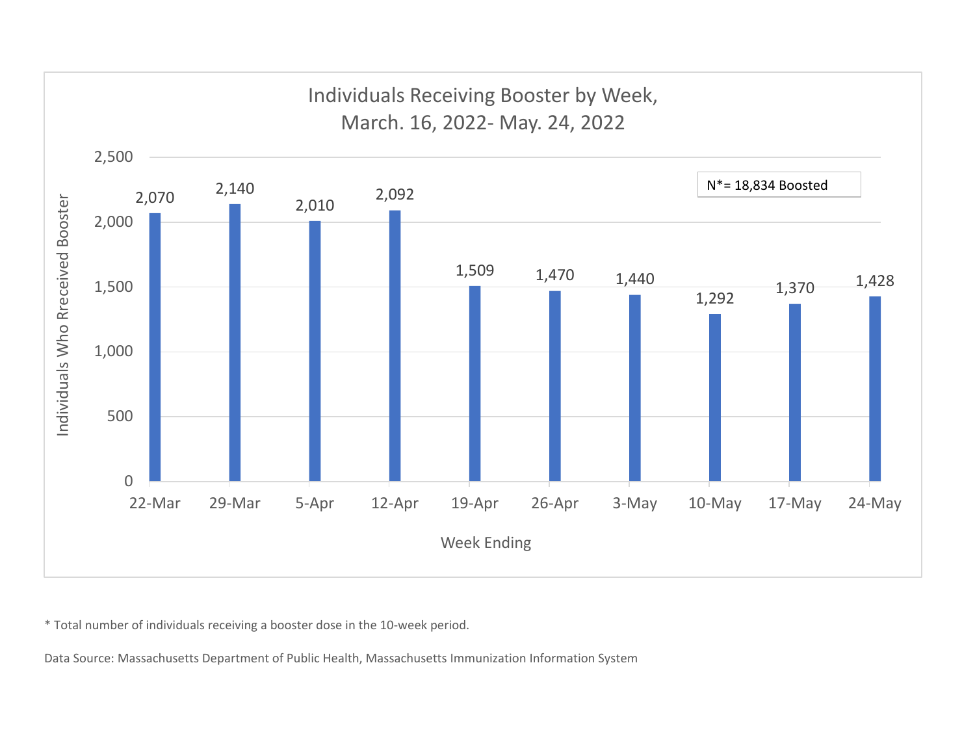

\* Total number of individuals receiving <sup>a</sup> booster dose in the 10‐week period.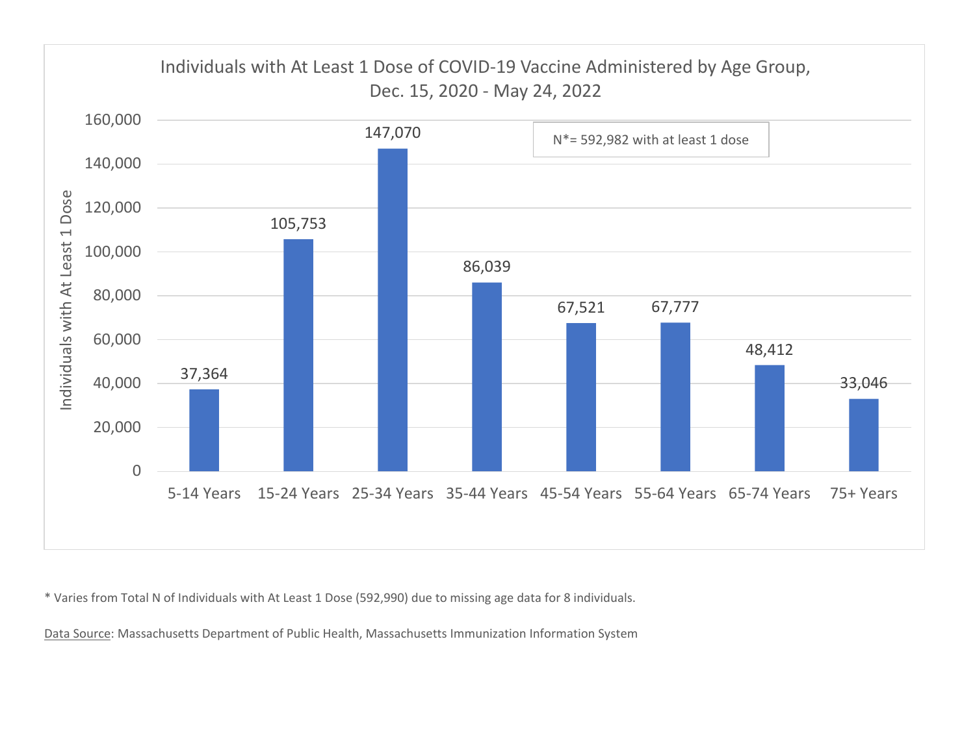

\* Varies from Total N of Individuals with At Least 1 Dose (592,990) due to missing age data for 8 individuals.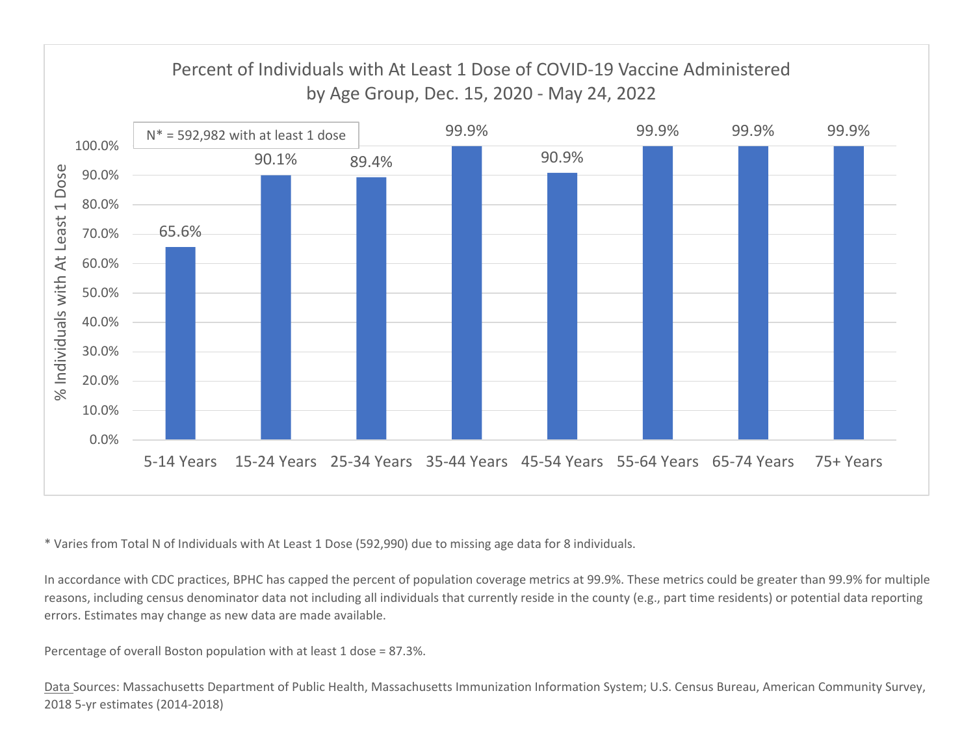

\* Varies from Total N of Individuals with At Least 1 Dose (592,990) due to missing age data for 8 individuals.

In accordance with CDC practices, BPHC has capped the percent of population coverage metrics at 99.9%. These metrics could be greater than 99.9% for multiple reasons, including census denominator data not including all individuals that currently reside in the county (e.g., part time residents) or potential data reporting errors. Estimates may change as new data are made available.

Percentage of overall Boston population with at least 1 dose <sup>=</sup> 87.3%.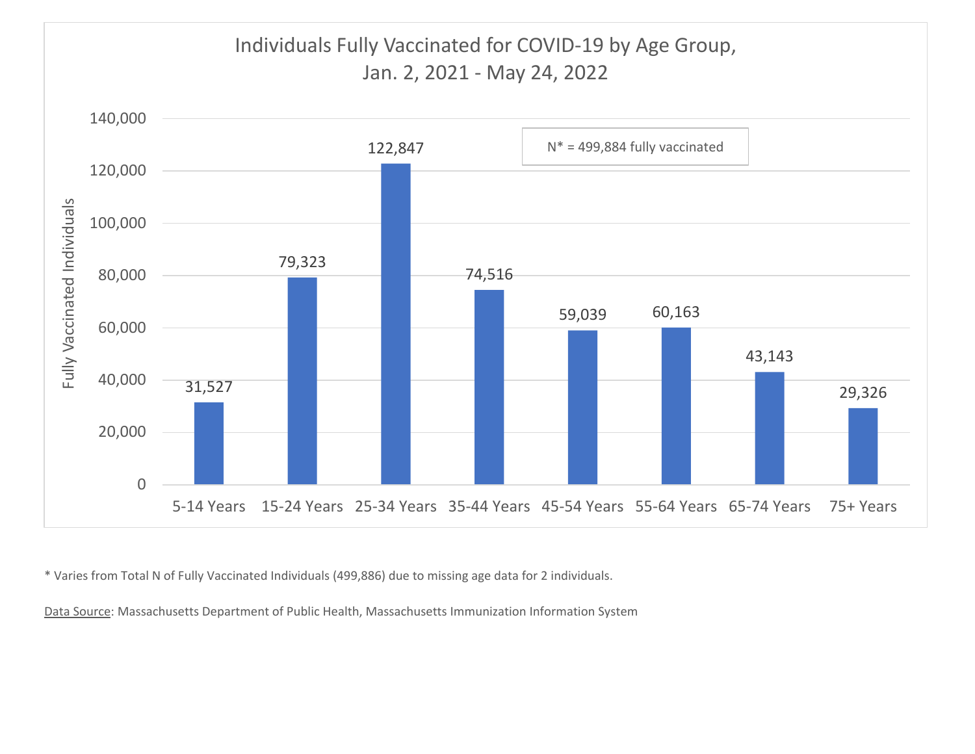

\* Varies from Total N of Fully Vaccinated Individuals (499,886) due to missing age data for 2 individuals.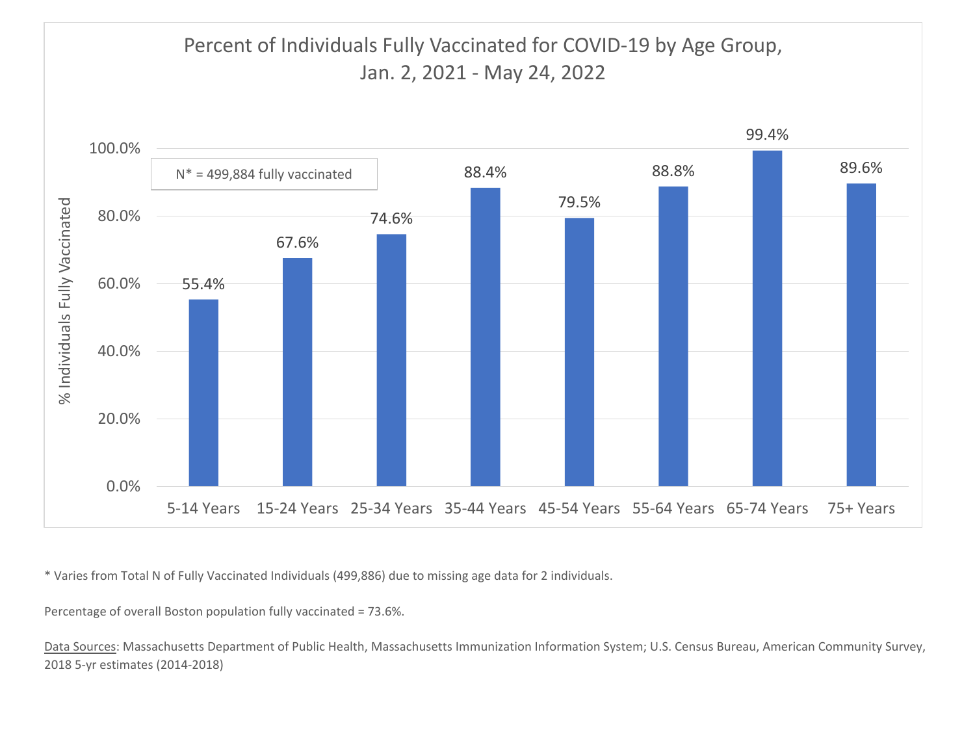

\* Varies from Total N of Fully Vaccinated Individuals (499,886) due to missing age data for 2 individuals.

Percentage of overall Boston population fully vaccinated <sup>=</sup> 73.6%.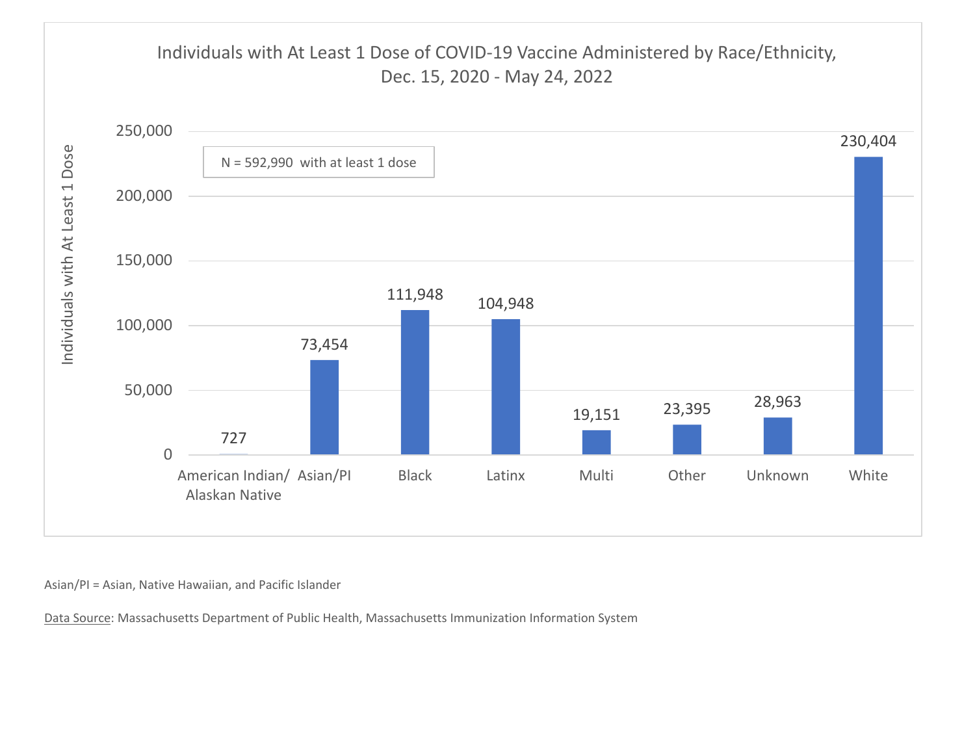

Asian/PI <sup>=</sup> Asian, Native Hawaiian, and Pacific Islander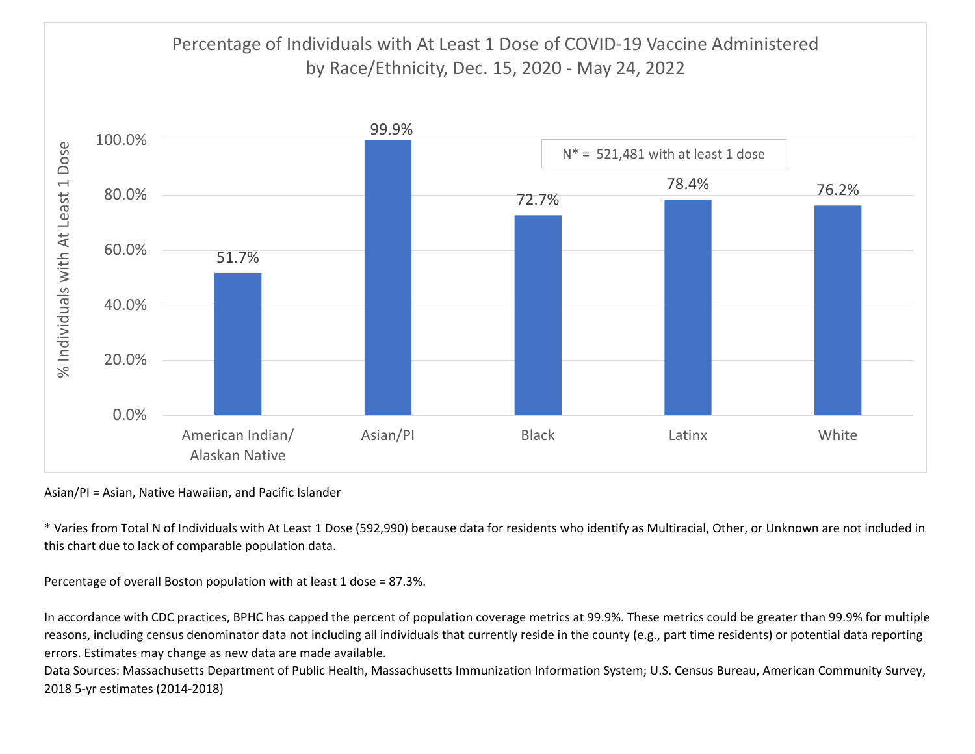

Asian/PI <sup>=</sup> Asian, Native Hawaiian, and Pacific Islander

\* Varies from Total N of Individuals with At Least 1 Dose (592,990) because data for residents who identify as Multiracial, Other, or Unknown are not included in this chart due to lack of comparable population data.

Percentage of overall Boston population with at least 1 dose <sup>=</sup> 87.3%.

In accordance with CDC practices, BPHC has capped the percent of population coverage metrics at 99.9%. These metrics could be greater than 99.9% for multiple reasons, including census denominator data not including all individuals that currently reside in the county (e.g., part time residents) or potential data reporting errors. Estimates may change as new data are made available.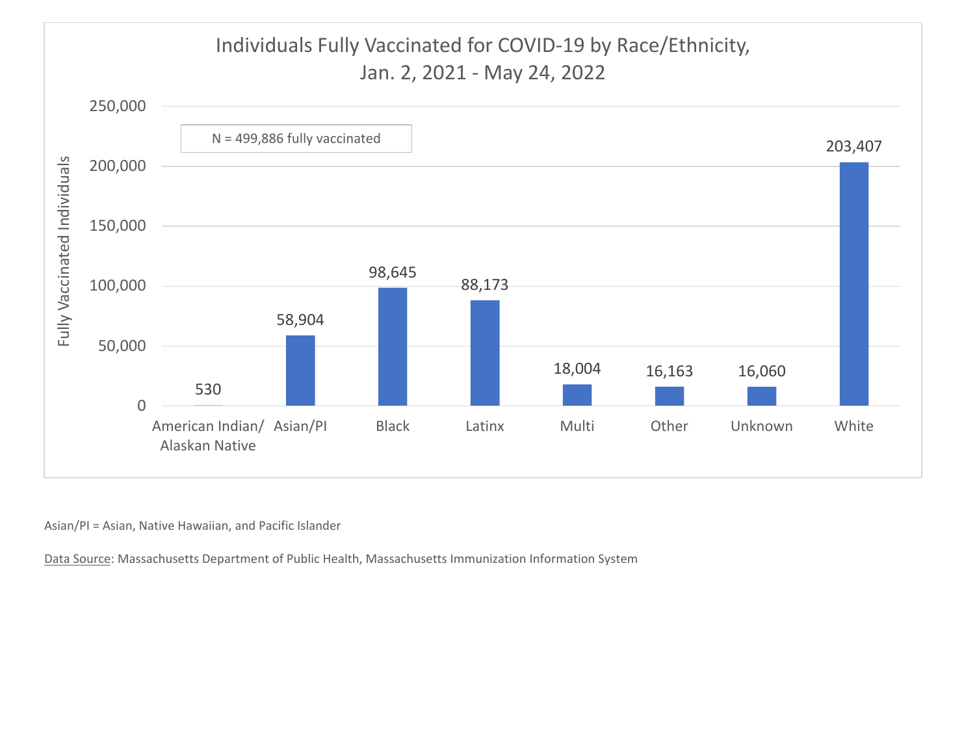

Asian/PI <sup>=</sup> Asian, Native Hawaiian, and Pacific Islander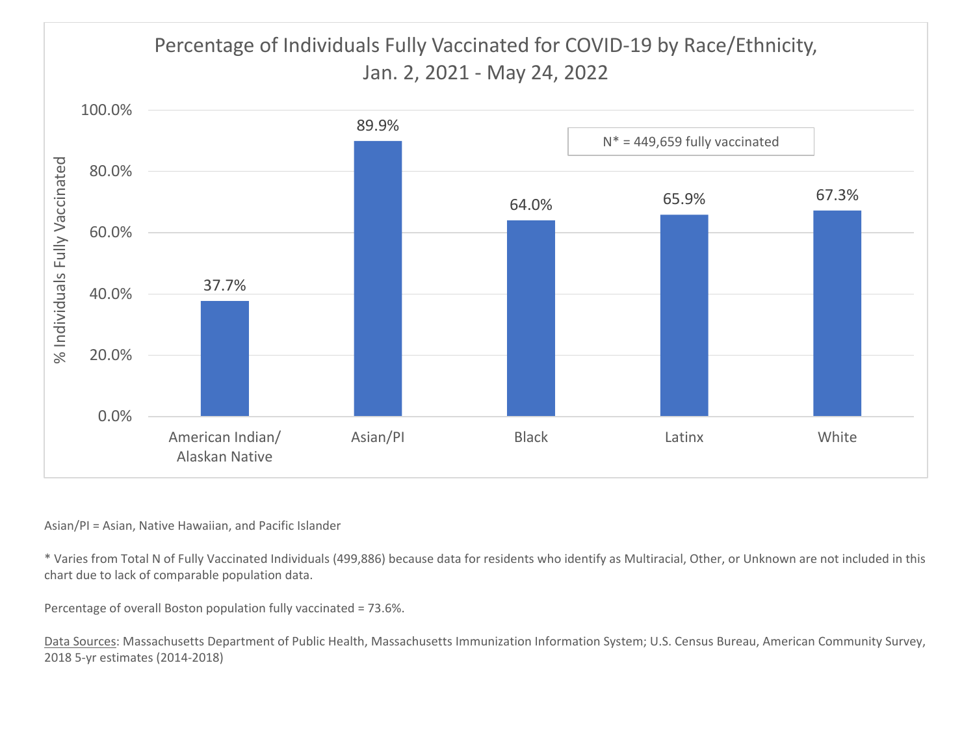# Percentage of Individuals Fully Vaccinated for COVID‐19 by Race/Ethnicity, Jan. 2, 2021 ‐ May 24, 2022



#### Asian/PI <sup>=</sup> Asian, Native Hawaiian, and Pacific Islander

\* Varies from Total N of Fully Vaccinated Individuals (499,886) because data for residents who identify as Multiracial, Other, or Unknown are not included in this chart due to lack of comparable population data.

Percentage of overall Boston population fully vaccinated <sup>=</sup> 73.6%.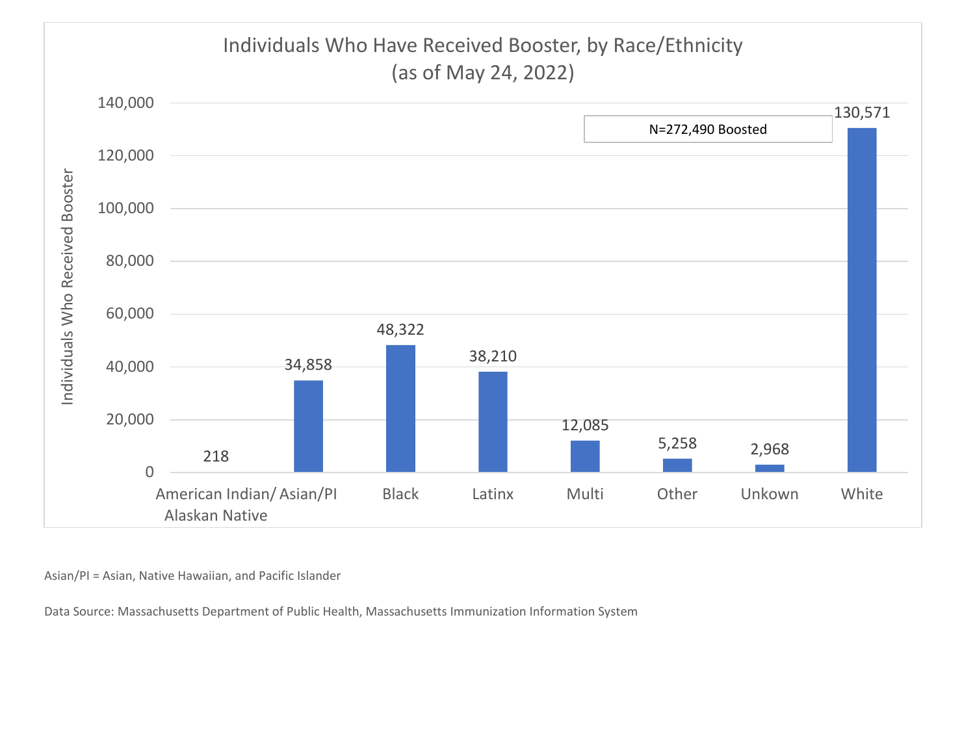

Asian/PI <sup>=</sup> Asian, Native Hawaiian, and Pacific Islander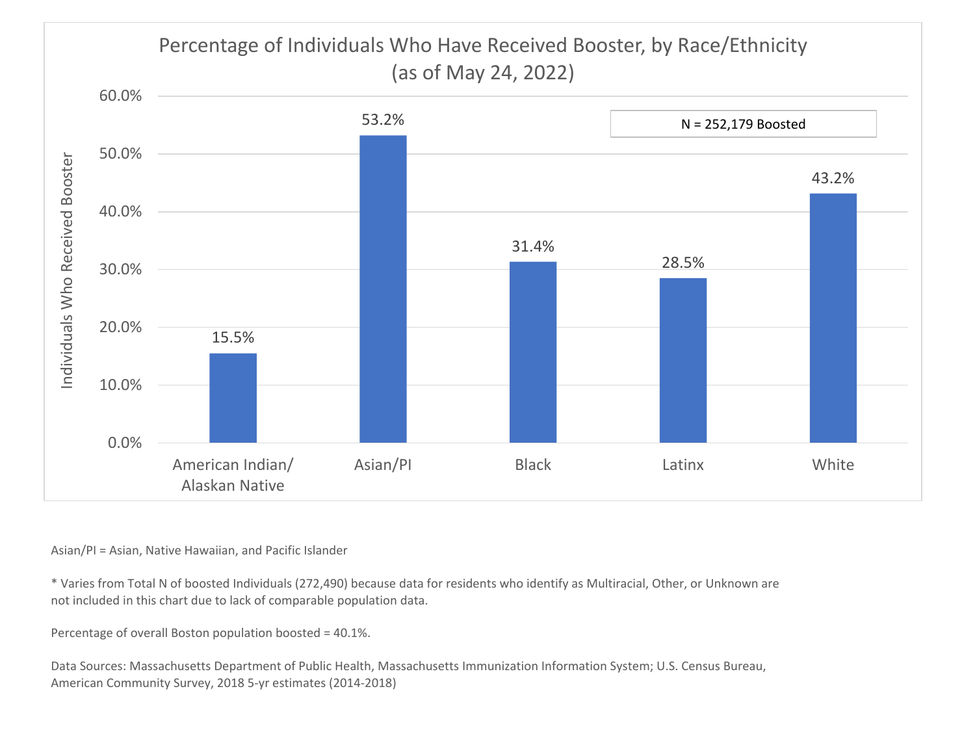

Asian/PI <sup>=</sup> Asian, Native Hawaiian, and Pacific Islander

\* Varies from Total N of boosted Individuals (272,490) because data for residents who identify as Multiracial, Other, or Unknown are not included in this chart due to lack of comparable population data.

Percentage of overall Boston population boosted <sup>=</sup> 40.1%.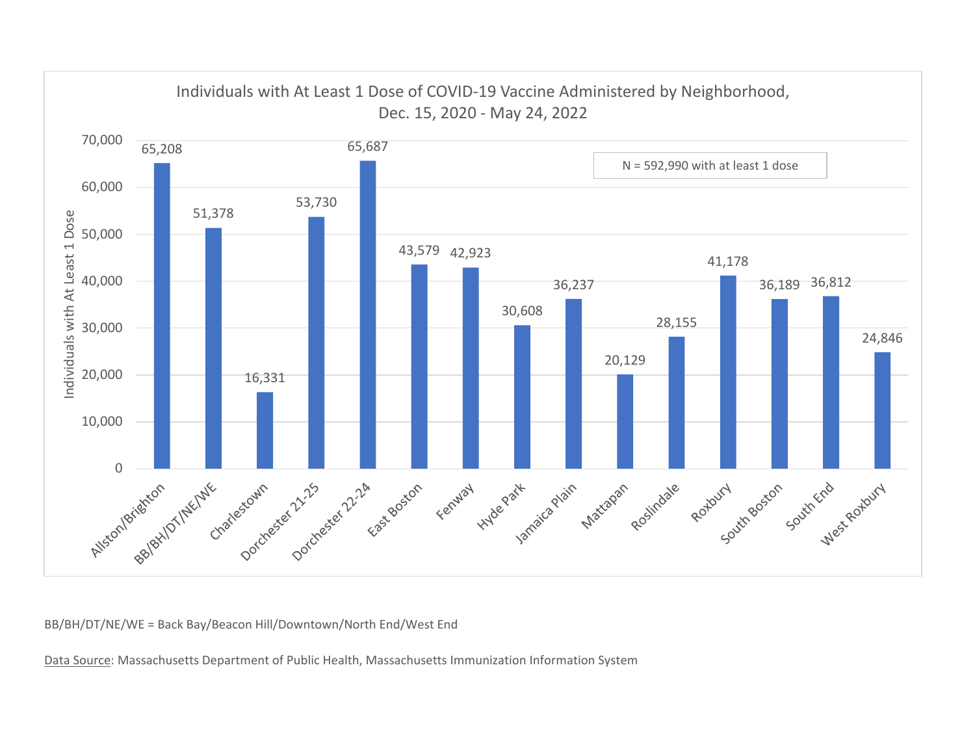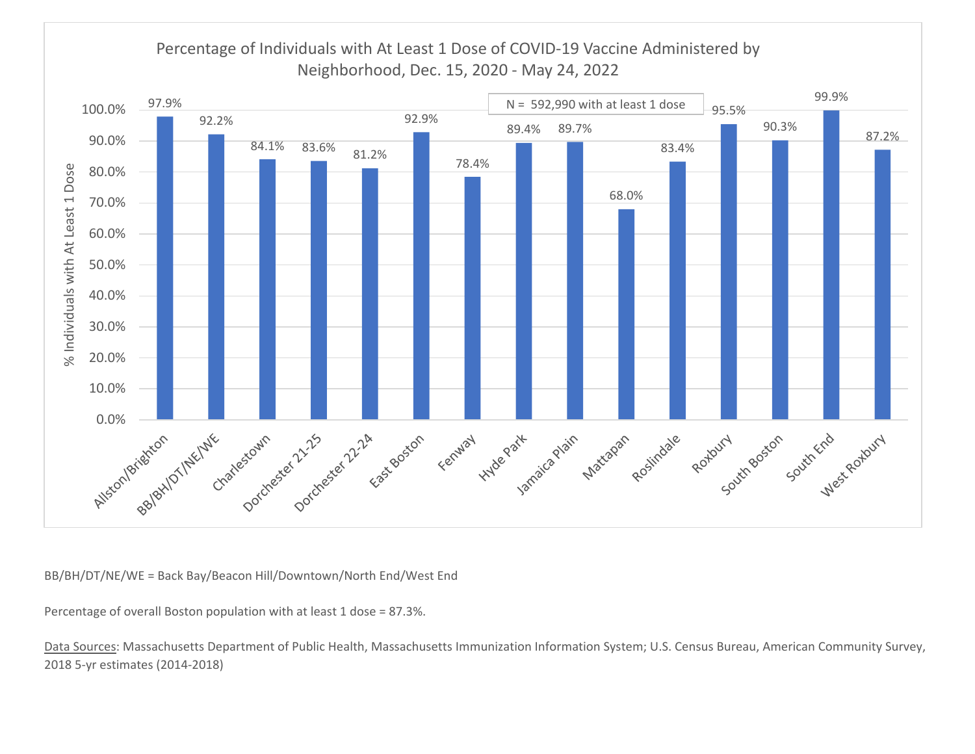

Percentage of overall Boston population with at least 1 dose <sup>=</sup> 87.3%.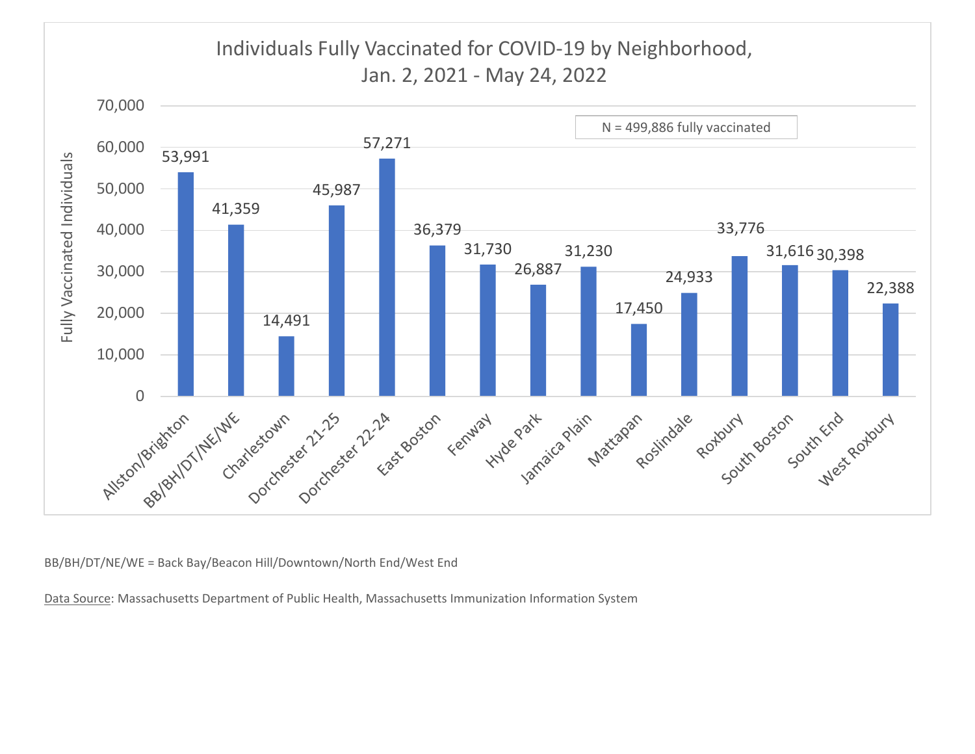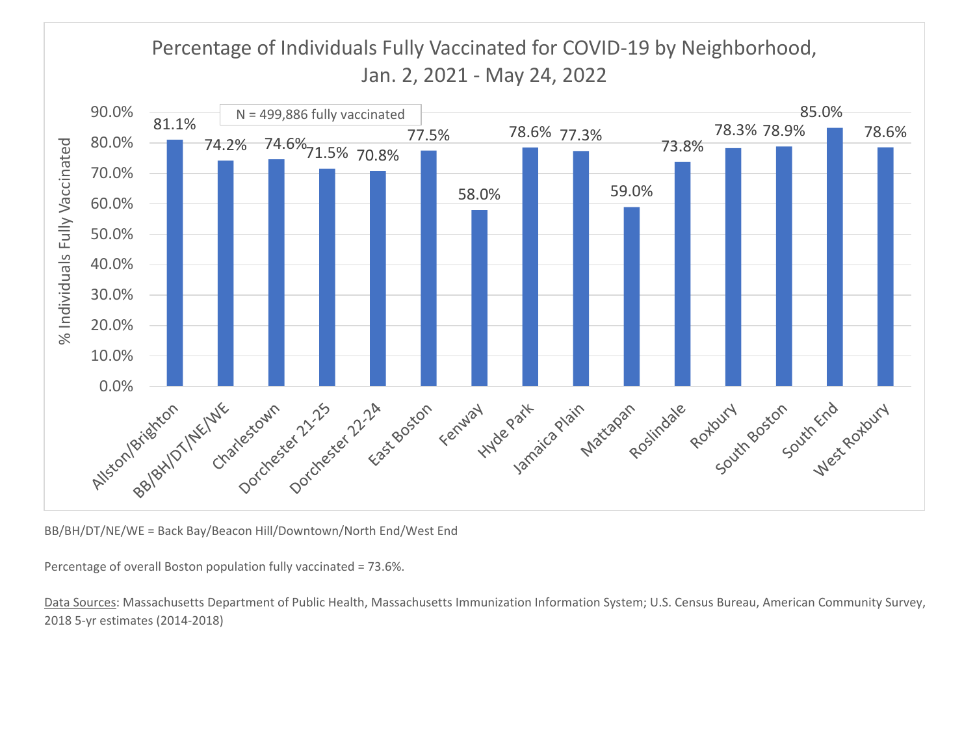# Percentage of Individuals Fully Vaccinated for COVID‐19 by Neighborhood, Jan. 2, 2021 ‐ May 24, 2022



BB/BH/DT/NE/WE <sup>=</sup> Back Bay/Beacon Hill/Downtown/North End/West End

Percentage of overall Boston population fully vaccinated <sup>=</sup> 73.6%.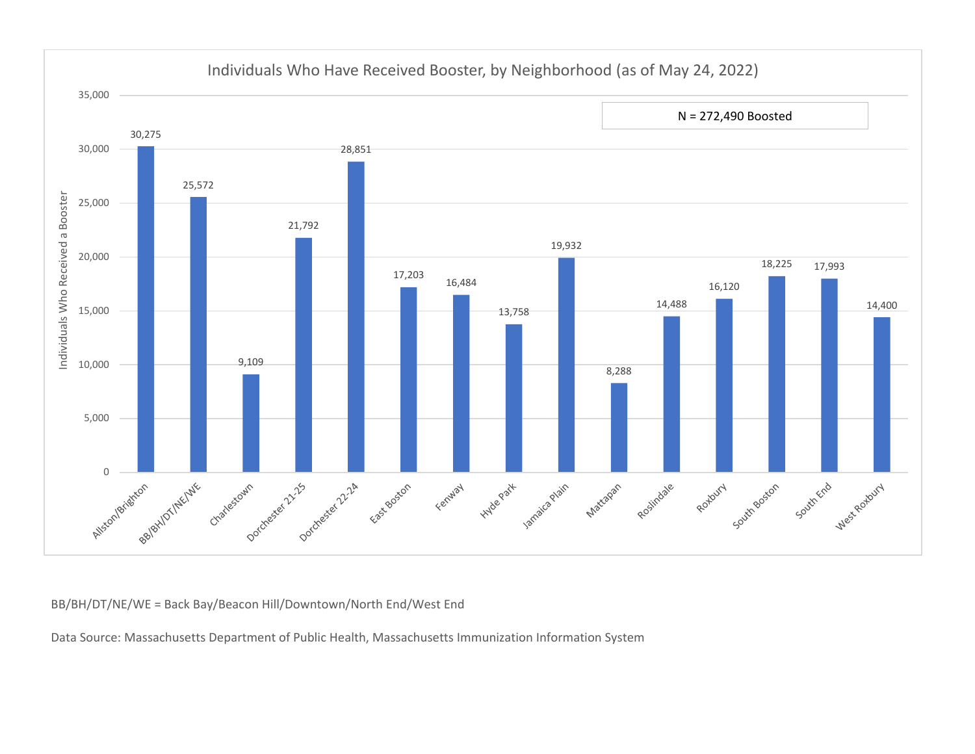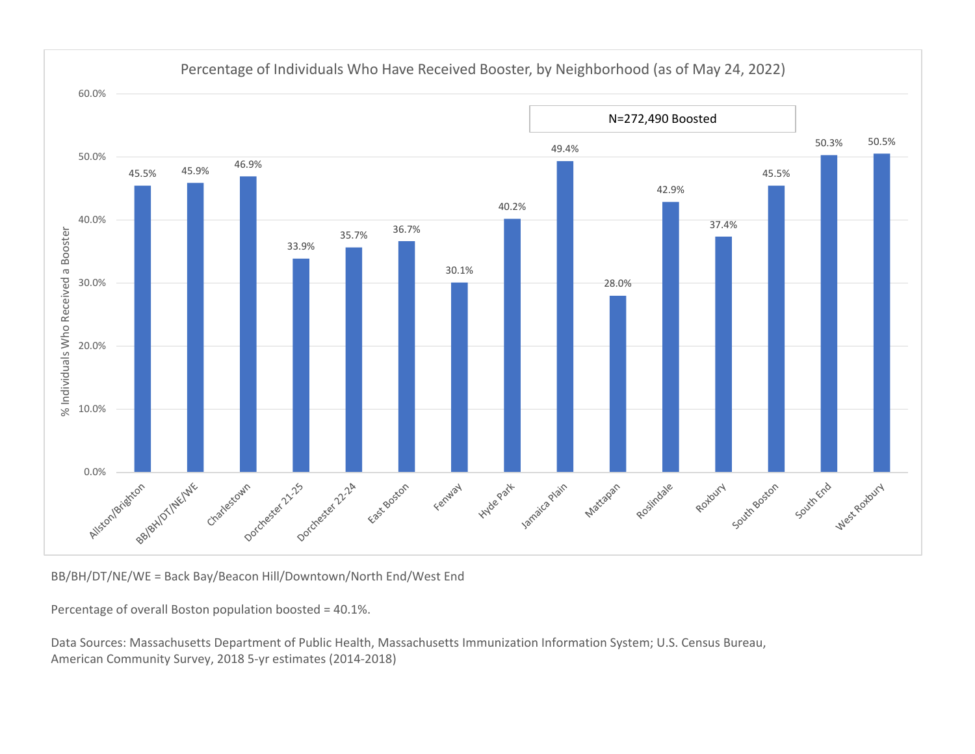

Percentage of Individuals Who Have Received Booster, by Neighborhood (as of May 24, 2022)

Percentage of overall Boston population boosted <sup>=</sup> 40.1%.